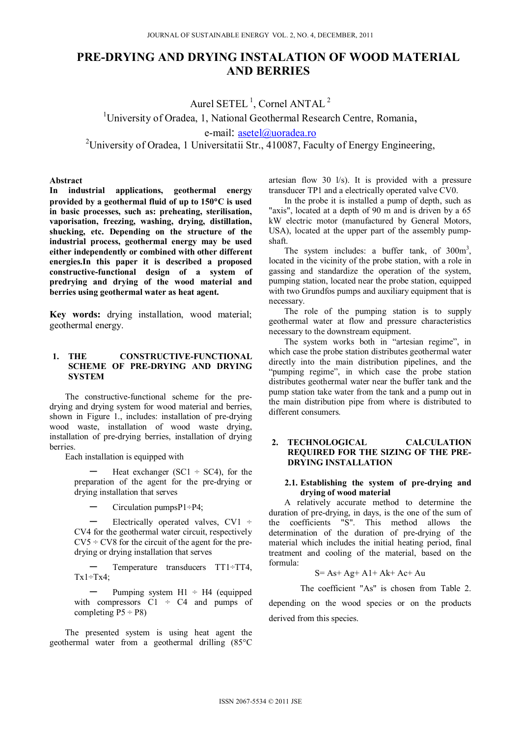# **PRE-DRYING AND DRYING INSTALATION OF WOOD MATERIAL AND BERRIES**

Aurel SETEL<sup>1</sup>, Cornel ANTAL<sup>2</sup><br><sup>1</sup>University of Oradea, 1, National Geothermal Research Centre, Romania, e-mail: asetel@uoradea.ro

<sup>2</sup>University of Oradea, 1 Universitatii Str., 410087, Faculty of Energy Engineering,

### **Abstract**

**In industrial applications, geothermal energy provided by a geothermal fluid of up to 150C is used in basic processes, such as: preheating, sterilisation, vaporisation, freezing, washing, drying, distillation, shucking, etc. Depending on the structure of the industrial process, geothermal energy may be used either independently or combined with other different energies.In this paper it is described a proposed constructive-functional design of a system of predrying and drying of the wood material and berries using geothermal water as heat agent.** 

**Key words:** drying installation, wood material; geothermal energy.

### **1. THE CONSTRUCTIVE-FUNCTIONAL SCHEME OF PRE-DRYING AND DRYING SYSTEM**

The constructive-functional scheme for the predrying and drying system for wood material and berries, shown in Figure 1., includes: installation of pre-drying wood waste, installation of wood waste drying, installation of pre-drying berries, installation of drying berries.

Each installation is equipped with

Heat exchanger ( $SC1 \div SC4$ ), for the preparation of the agent for the pre-drying or drying installation that serves

**–** Circulation pumpsP1÷P4;

**–** Electrically operated valves, CV1 ÷ CV4 for the geothermal water circuit, respectively  $CV5 \div CV8$  for the circuit of the agent for the predrying or drying installation that serves

**–** Temperature transducers TT1÷TT4,  $Tx1 \div Tx4$ ;

**–** Pumping system H1 ÷ H4 (equipped with compressors  $C1 \div C4$  and pumps of completing  $P5 \div P8$ )

The presented system is using heat agent the geothermal water from a geothermal drilling (85°C artesian flow 30 l/s). It is provided with a pressure transducer TP1 and a electrically operated valve CV0.

In the probe it is installed a pump of depth, such as "axis", located at a depth of 90 m and is driven by a 65 kW electric motor (manufactured by General Motors, USA), located at the upper part of the assembly pumpshaft.

The system includes: a buffer tank, of  $300m^3$ , located in the vicinity of the probe station, with a role in gassing and standardize the operation of the system, pumping station, located near the probe station, equipped with two Grundfos pumps and auxiliary equipment that is necessary.

The role of the pumping station is to supply geothermal water at flow and pressure characteristics necessary to the downstream equipment.

The system works both in "artesian regime", in which case the probe station distributes geothermal water directly into the main distribution pipelines, and the "pumping regime", in which case the probe station distributes geothermal water near the buffer tank and the pump station take water from the tank and a pump out in the main distribution pipe from where is distributed to different consumers.

## **2. TECHNOLOGICAL CALCULATION REQUIRED FOR THE SIZING OF THE PRE-DRYING INSTALLATION**

## **2.1. Establishing the system of pre-drying and drying of wood material**

A relatively accurate method to determine the duration of pre-drying, in days, is the one of the sum of the coefficients "S". This method allows the determination of the duration of pre-drying of the material which includes the initial heating period, final treatment and cooling of the material, based on the formula:

$$
S = As + Ag + A1 + Ak + Ac + Au
$$

The coefficient "As" is chosen from Table 2.

depending on the wood species or on the products derived from this species.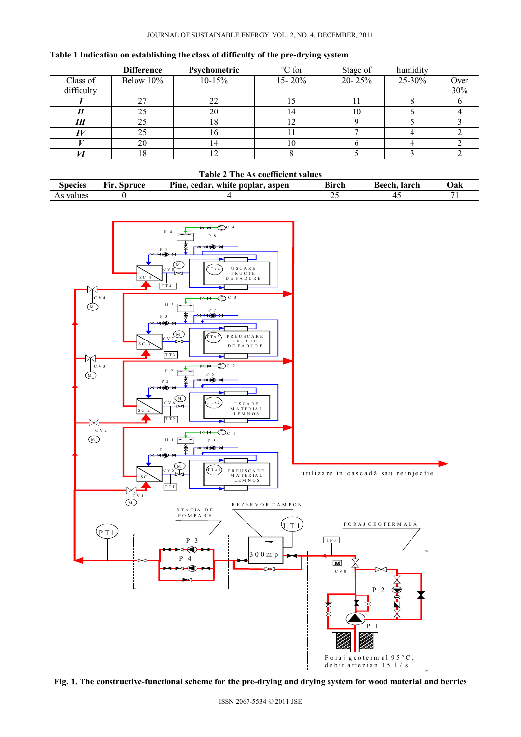|  |  | Table 1 Indication on establishing the class of difficulty of the pre-drying system |
|--|--|-------------------------------------------------------------------------------------|
|--|--|-------------------------------------------------------------------------------------|

|            | <b>Difference</b> | Psychometric | °C for     | Stage of   | humidity    |      |
|------------|-------------------|--------------|------------|------------|-------------|------|
| Class of   | Below 10%         | $10-15%$     | $15 - 20%$ | $20 - 25%$ | $25 - 30\%$ | Over |
| difficulty |                   |              |            |            |             | 30%  |
|            | 27                |              |            |            |             |      |
|            | 25                | 20           | 14         | 10         |             |      |
| Ш          | 25                | 18           | 12         |            |             |      |
|            | 25                | 10           |            |            |             |      |
|            | 20                |              | 10         |            |             |      |
|            | 18                |              |            |            |             |      |

#### **Table 2 The As coefficient values**

| Species                  | $\cdots$<br>Spruce<br>H I V | .<br>____<br>___<br>.<br>Pine.<br>aspen<br>: poplar.<br>white<br>. cedar | $\cdots$<br>Bìrch | larch<br>Beech | Jak |
|--------------------------|-----------------------------|--------------------------------------------------------------------------|-------------------|----------------|-----|
| values<br>A <sub>2</sub> |                             |                                                                          | ت سه              | . .            | -   |



**Fig. 1. The constructive-functional scheme for the pre-drying and drying system for wood material and berries**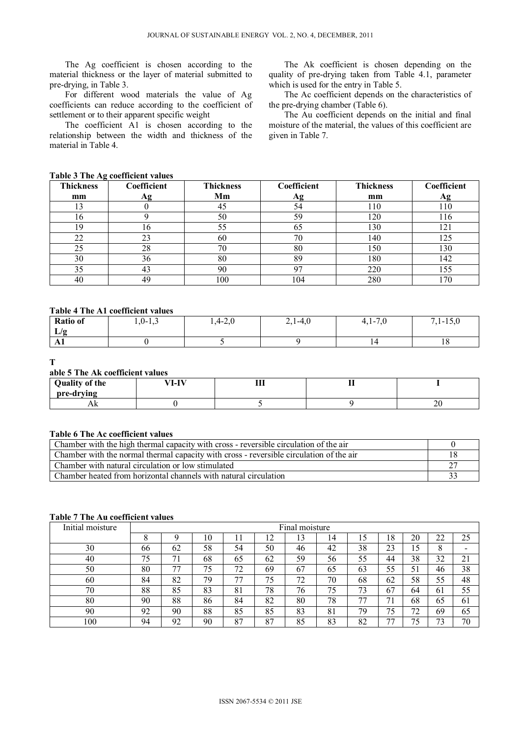The Ag coefficient is chosen according to the material thickness or the layer of material submitted to pre-drying, in Table 3.

For different wood materials the value of Ag coefficients can reduce according to the coefficient of settlement or to their apparent specific weight

The coefficient A1 is chosen according to the relationship between the width and thickness of the material in Table 4.

The Ak coefficient is chosen depending on the quality of pre-drying taken from Table 4.1, parameter which is used for the entry in Table 5.

The Ac coefficient depends on the characteristics of the pre-drying chamber (Table 6).

The Au coefficient depends on the initial and final moisture of the material, the values of this coefficient are given in Table 7.

#### **Table 3 The Ag coefficient values**

| <b>Thickness</b> | Coefficient         | <b>Thickness</b> | Coefficient | <b>Thickness</b> | Coefficient |
|------------------|---------------------|------------------|-------------|------------------|-------------|
| mm               | Αg                  | Mm               | Αg          | mm               | Αg          |
|                  |                     | 45               | 54          | 110              | l 10        |
| 16               |                     | 50               | 59          | 120              | 116         |
| 19               | I O                 | 55               | 65          | 130              | 121         |
| 22               | $\mathcal{L}$<br>23 | 60               | 70          | 140              | 125         |
| 25               | 28                  | 70               | 80          | 150              | 130         |
| 30               | 36                  | 80               | 89          | 180              | 142         |
| 35               | 43                  | 90               |             | 220              | 155         |
| 40               | 49                  | 100              | 104         | 280              | 170         |

## **Table 4 The A1 coefficient values**

| <b>Ratio of</b>     | $1,0-1,3$ | $\sim$ $\sim$<br>$1,4-2,0$ | $2,1-4,0$ | $\sim$ $\sim$<br>$\overline{\phantom{0}}$<br>∸<br>T. 1 –<br>$\sim$ | $\sim$ $\sim$ $\sim$<br>$\blacksquare$<br>$1,1-1,0$ |
|---------------------|-----------|----------------------------|-----------|--------------------------------------------------------------------|-----------------------------------------------------|
| $\mathbf{r}$<br>L/g |           |                            |           |                                                                    |                                                     |
| $\mathbf{L}$        |           |                            |           |                                                                    | 1 O                                                 |

## **T**

## **able 5 The Ak coefficient values**

| <b>Quality of the</b><br>pre-drying | VI-IV | <b>TT</b><br>ш | $\sim$<br> |    |
|-------------------------------------|-------|----------------|------------|----|
| ЛŊ                                  |       |                |            | ∠∪ |

## **Table 6 The Ac coefficient values**

| Chamber with the high thermal capacity with cross - reversible circulation of the air   |  |
|-----------------------------------------------------------------------------------------|--|
| Chamber with the normal thermal capacity with cross - reversible circulation of the air |  |
| Chamber with natural circulation or low stimulated                                      |  |
| Chamber heated from horizontal channels with natural circulation                        |  |

## **Table 7 The Au coefficient values**

| Initial moisture | Final moisture |    |    |    |    |    |    |    |    |    |    |    |
|------------------|----------------|----|----|----|----|----|----|----|----|----|----|----|
|                  |                |    | 10 |    | 12 | 13 | 14 | l5 | 18 | 20 | 22 | 25 |
| 30               | 66             | 62 | 58 | 54 | 50 | 46 | 42 | 38 | 23 | 15 | 8  |    |
| 40               | 75             | 71 | 68 | 65 | 62 | 59 | 56 | 55 | 44 | 38 | 32 | 21 |
| 50               | 80             | 77 | 75 | 72 | 69 | 67 | 65 | 63 | 55 | 51 | 46 | 38 |
| 60               | 84             | 82 | 79 | 77 | 75 | 72 | 70 | 68 | 62 | 58 | 55 | 48 |
| 70               | 88             | 85 | 83 | 81 | 78 | 76 | 75 | 73 | 67 | 64 | 61 | 55 |
| 80               | 90             | 88 | 86 | 84 | 82 | 80 | 78 | 77 | 71 | 68 | 65 | 61 |
| 90               | 92<br>∕∠       | 90 | 88 | 85 | 85 | 83 | 81 | 79 | 75 | 72 | 69 | 65 |
| 100              | 94             | 92 | 90 | 87 | 87 | 85 | 83 | 82 | 77 | 75 | 73 | 70 |